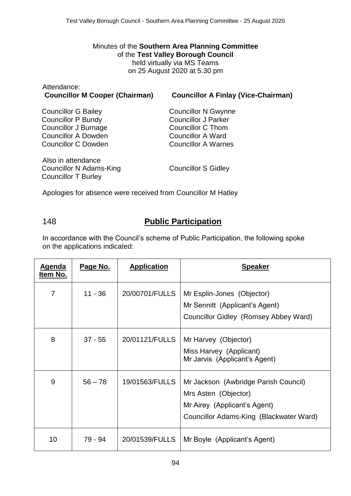#### Minutes of the **Southern Area Planning Committee** of the **Test Valley Borough Council** held virtually via MS Teams on 25 August 2020 at 5.30 pm

| Attendance:                           |                                            |
|---------------------------------------|--------------------------------------------|
| <b>Councillor M Cooper (Chairman)</b> | <b>Councillor A Finlay (Vice-Chairman)</b> |

Councillor G Bailey Councillor P Bundy Councillor J Burnage Councillor A Dowden Councillor C Dowden

Councillor N Gwynne Councillor J Parker Councillor C Thom Councillor A Ward Councillor A Warnes

Also in attendance Councillor N Adams-King Councillor T Burley

Councillor S Gidley

Apologies for absence were received from Councillor M Hatley

## 148 **Public Participation**

In accordance with the Council's scheme of Public Participation, the following spoke on the applications indicated:

| <u>Agenda</u><br>Item No. | Page No.  | <b>Application</b> | <b>Speaker</b>                                                                                                                          |
|---------------------------|-----------|--------------------|-----------------------------------------------------------------------------------------------------------------------------------------|
| 7                         | $11 - 36$ | 20/00701/FULLS     | Mr Esplin-Jones (Objector)<br>Mr Sennitt (Applicant's Agent)<br>Councillor Gidley (Romsey Abbey Ward)                                   |
| 8                         | $37 - 55$ | 20/01121/FULLS     | Mr Harvey (Objector)<br>Miss Harvey (Applicant)<br>Mr Jarvis (Applicant's Agent)                                                        |
| 9                         | $56 - 78$ | 19/01563/FULLS     | Mr Jackson (Awbridge Parish Council)<br>Mrs Asten (Objector)<br>Mr Airey (Applicant's Agent)<br>Councillor Adams-King (Blackwater Ward) |
| 10 <sup>1</sup>           | 79 - 94   | 20/01539/FULLS     | Mr Boyle (Applicant's Agent)                                                                                                            |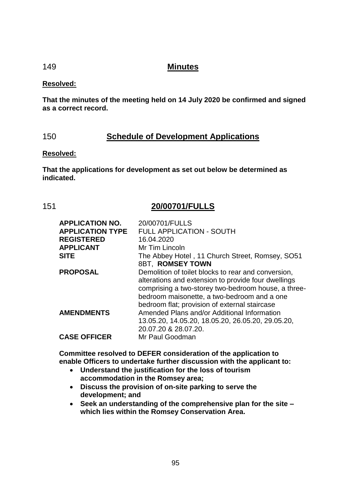## 149 **Minutes**

### **Resolved:**

**That the minutes of the meeting held on 14 July 2020 be confirmed and signed as a correct record.**

# 150 **Schedule of Development Applications**

### **Resolved:**

**That the applications for development as set out below be determined as indicated.**

## 151 **20/00701/FULLS**

| <b>APPLICATION NO.</b><br><b>APPLICATION TYPE</b><br><b>REGISTERED</b><br><b>APPLICANT</b><br><b>SITE</b> | 20/00701/FULLS<br><b>FULL APPLICATION - SOUTH</b><br>16.04.2020<br>Mr Tim Lincoln<br>The Abbey Hotel, 11 Church Street, Romsey, SO51                                                                                                 |
|-----------------------------------------------------------------------------------------------------------|--------------------------------------------------------------------------------------------------------------------------------------------------------------------------------------------------------------------------------------|
| <b>PROPOSAL</b>                                                                                           | 8BT, ROMSEY TOWN<br>Demolition of toilet blocks to rear and conversion,<br>alterations and extension to provide four dwellings<br>comprising a two-storey two-bedroom house, a three-<br>bedroom maisonette, a two-bedroom and a one |
| <b>AMENDMENTS</b>                                                                                         | bedroom flat; provision of external staircase<br>Amended Plans and/or Additional Information<br>13.05.20, 14.05.20, 18.05.20, 26.05.20, 29.05.20,<br>20.07.20 & 28.07.20.                                                            |
| <b>CASE OFFICER</b>                                                                                       | Mr Paul Goodman                                                                                                                                                                                                                      |

**Committee resolved to DEFER consideration of the application to enable Officers to undertake further discussion with the applicant to:**

- **Understand the justification for the loss of tourism accommodation in the Romsey area;**
- **Discuss the provision of on-site parking to serve the development; and**
- **Seek an understanding of the comprehensive plan for the site – which lies within the Romsey Conservation Area.**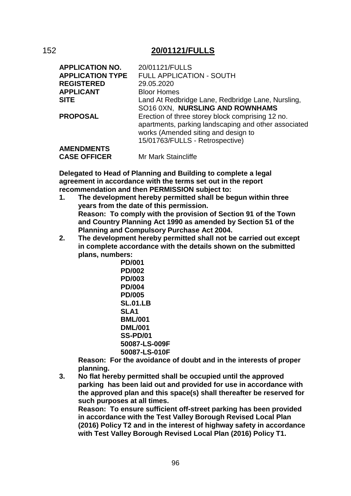## 152 **20/01121/FULLS**

| <b>APPLICATION NO.</b><br><b>APPLICATION TYPE</b> | 20/01121/FULLS<br><b>FULL APPLICATION - SOUTH</b>                                                                                                                                  |
|---------------------------------------------------|------------------------------------------------------------------------------------------------------------------------------------------------------------------------------------|
| <b>REGISTERED</b>                                 | 29.05.2020                                                                                                                                                                         |
| <b>APPLICANT</b>                                  | <b>Bloor Homes</b>                                                                                                                                                                 |
| <b>SITE</b>                                       | Land At Redbridge Lane, Redbridge Lane, Nursling,<br>SO16 0XN, NURSLING AND ROWNHAMS                                                                                               |
| <b>PROPOSAL</b>                                   | Erection of three storey block comprising 12 no.<br>apartments, parking landscaping and other associated<br>works (Amended siting and design to<br>15/01763/FULLS - Retrospective) |
| <b>AMENDMENTS</b>                                 |                                                                                                                                                                                    |
| <b>CASE OFFICER</b>                               | Mr Mark Staincliffe                                                                                                                                                                |

**Delegated to Head of Planning and Building to complete a legal agreement in accordance with the terms set out in the report recommendation and then PERMISSION subject to:**

- **1. The development hereby permitted shall be begun within three years from the date of this permission. Reason: To comply with the provision of Section 91 of the Town and Country Planning Act 1990 as amended by Section 51 of the Planning and Compulsory Purchase Act 2004.**
- **2. The development hereby permitted shall not be carried out except in complete accordance with the details shown on the submitted plans, numbers:**

**PD/001 PD/002 PD/003 PD/004 PD/005 SL.01.LB SLA1 BML/001 DML/001 SS-PD/01 50087-LS-009F 50087-LS-010F**

**Reason: For the avoidance of doubt and in the interests of proper planning.**

**3. No flat hereby permitted shall be occupied until the approved parking has been laid out and provided for use in accordance with the approved plan and this space(s) shall thereafter be reserved for such purposes at all times.**

**Reason: To ensure sufficient off-street parking has been provided in accordance with the Test Valley Borough Revised Local Plan (2016) Policy T2 and in the interest of highway safety in accordance with Test Valley Borough Revised Local Plan (2016) Policy T1.**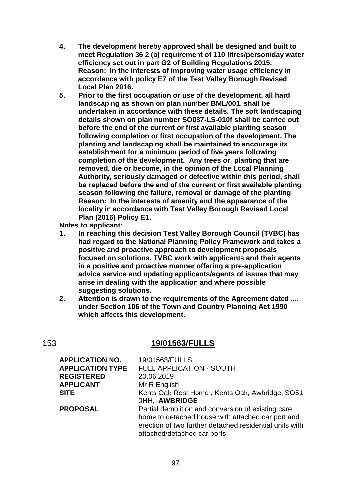- **4. The development hereby approved shall be designed and built to meet Regulation 36 2 (b) requirement of 110 litres/person/day water efficiency set out in part G2 of Building Regulations 2015. Reason: In the interests of improving water usage efficiency in accordance with policy E7 of the Test Valley Borough Revised Local Plan 2016.**
- **5. Prior to the first occupation or use of the development, all hard landscaping as shown on plan number BML/001, shall be undertaken in accordance with these details. The soft landscaping details shown on plan number SO087-LS-010f shall be carried out before the end of the current or first available planting season following completion or first occupation of the development. The planting and landscaping shall be maintained to encourage its establishment for a minimum period of five years following completion of the development. Any trees or planting that are removed, die or become, in the opinion of the Local Planning Authority, seriously damaged or defective within this period, shall be replaced before the end of the current or first available planting season following the failure, removal or damage of the planting Reason: In the interests of amenity and the appearance of the locality in accordance with Test Valley Borough Revised Local Plan (2016) Policy E1.**

**Notes to applicant:**

- **1. In reaching this decision Test Valley Borough Council (TVBC) has had regard to the National Planning Policy Framework and takes a positive and proactive approach to development proposals focused on solutions. TVBC work with applicants and their agents in a positive and proactive manner offering a pre-application advice service and updating applicants/agents of issues that may arise in dealing with the application and where possible suggesting solutions.**
- **2. Attention is drawn to the requirements of the Agreement dated .... under Section 106 of the Town and Country Planning Act 1990 which affects this development.**

## 153 **19/01563/FULLS**

| <b>APPLICATION NO.</b>  | 19/01563/FULLS                                          |
|-------------------------|---------------------------------------------------------|
| <b>APPLICATION TYPE</b> | <b>FULL APPLICATION - SOUTH</b>                         |
| <b>REGISTERED</b>       | 20.06.2019                                              |
| <b>APPLICANT</b>        | Mr R English                                            |
| <b>SITE</b>             | Kents Oak Rest Home, Kents Oak, Awbridge, SO51          |
|                         | OHH, AWBRIDGE                                           |
| <b>PROPOSAL</b>         | Partial demolition and conversion of existing care      |
|                         | home to detached house with attached car port and       |
|                         | erection of two further detached residential units with |
|                         | attached/detached car ports                             |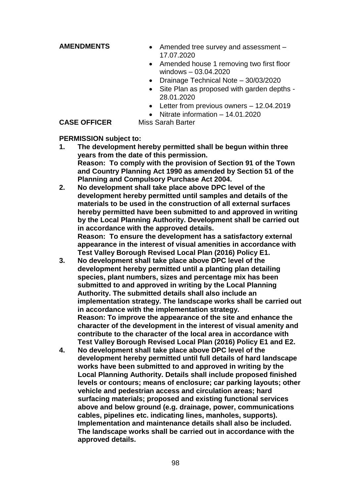- **AMENDMENTS** Amended tree survey and assessment 17.07.2020
	- Amended house 1 removing two first floor windows – 03.04.2020
	- Drainage Technical Note 30/03/2020
	- Site Plan as proposed with garden depths -28.01.2020
	- Letter from previous owners 12.04.2019
	- Nitrate information 14.01.2020

**CASE OFFICER** Miss Sarah Barter

#### **PERMISSION subject to:**

- **1. The development hereby permitted shall be begun within three years from the date of this permission. Reason: To comply with the provision of Section 91 of the Town and Country Planning Act 1990 as amended by Section 51 of the Planning and Compulsory Purchase Act 2004.**
- **2. No development shall take place above DPC level of the development hereby permitted until samples and details of the materials to be used in the construction of all external surfaces hereby permitted have been submitted to and approved in writing by the Local Planning Authority. Development shall be carried out in accordance with the approved details. Reason: To ensure the development has a satisfactory external appearance in the interest of visual amenities in accordance with**
- **Test Valley Borough Revised Local Plan (2016) Policy E1. 3. No development shall take place above DPC level of the development hereby permitted until a planting plan detailing species, plant numbers, sizes and percentage mix has been submitted to and approved in writing by the Local Planning Authority. The submitted details shall also include an implementation strategy. The landscape works shall be carried out in accordance with the implementation strategy. Reason: To improve the appearance of the site and enhance the character of the development in the interest of visual amenity and contribute to the character of the local area in accordance with Test Valley Borough Revised Local Plan (2016) Policy E1 and E2.**
- **4. No development shall take place above DPC level of the development hereby permitted until full details of hard landscape works have been submitted to and approved in writing by the Local Planning Authority. Details shall include proposed finished levels or contours; means of enclosure; car parking layouts; other vehicle and pedestrian access and circulation areas; hard surfacing materials; proposed and existing functional services above and below ground (e.g. drainage, power, communications cables, pipelines etc. indicating lines, manholes, supports). Implementation and maintenance details shall also be included. The landscape works shall be carried out in accordance with the approved details.**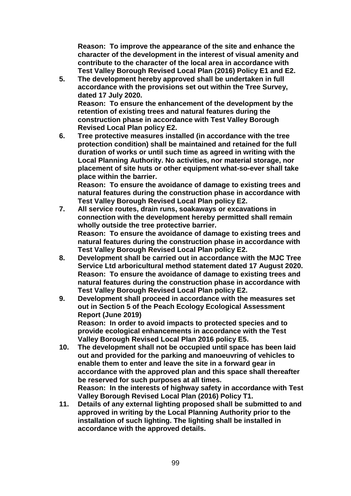**Reason: To improve the appearance of the site and enhance the character of the development in the interest of visual amenity and contribute to the character of the local area in accordance with Test Valley Borough Revised Local Plan (2016) Policy E1 and E2.**

**5. The development hereby approved shall be undertaken in full accordance with the provisions set out within the Tree Survey, dated 17 July 2020. Reason: To ensure the enhancement of the development by the retention of existing trees and natural features during the** 

**construction phase in accordance with Test Valley Borough Revised Local Plan policy E2.**

**6. Tree protective measures installed (in accordance with the tree protection condition) shall be maintained and retained for the full duration of works or until such time as agreed in writing with the Local Planning Authority. No activities, nor material storage, nor placement of site huts or other equipment what-so-ever shall take place within the barrier.**

**Reason: To ensure the avoidance of damage to existing trees and natural features during the construction phase in accordance with Test Valley Borough Revised Local Plan policy E2.**

- **7. All service routes, drain runs, soakaways or excavations in connection with the development hereby permitted shall remain wholly outside the tree protective barrier. Reason: To ensure the avoidance of damage to existing trees and natural features during the construction phase in accordance with Test Valley Borough Revised Local Plan policy E2.**
- **8. Development shall be carried out in accordance with the MJC Tree Service Ltd arboricultural method statement dated 17 August 2020. Reason: To ensure the avoidance of damage to existing trees and natural features during the construction phase in accordance with Test Valley Borough Revised Local Plan policy E2.**
- **9. Development shall proceed in accordance with the measures set out in Section 5 of the Peach Ecology Ecological Assessment Report (June 2019) Reason: In order to avoid impacts to protected species and to provide ecological enhancements in accordance with the Test**

**Valley Borough Revised Local Plan 2016 policy E5.**

- **10. The development shall not be occupied until space has been laid out and provided for the parking and manoeuvring of vehicles to enable them to enter and leave the site in a forward gear in accordance with the approved plan and this space shall thereafter be reserved for such purposes at all times. Reason: In the interests of highway safety in accordance with Test Valley Borough Revised Local Plan (2016) Policy T1.**
- **11. Details of any external lighting proposed shall be submitted to and approved in writing by the Local Planning Authority prior to the installation of such lighting. The lighting shall be installed in accordance with the approved details.**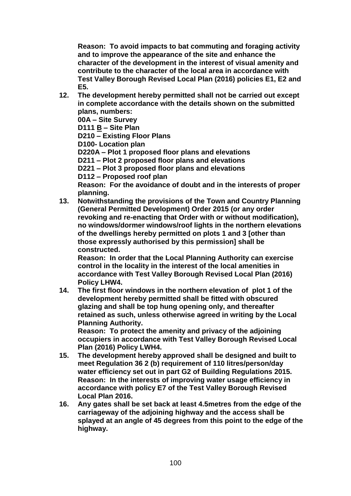**Reason: To avoid impacts to bat commuting and foraging activity and to improve the appearance of the site and enhance the character of the development in the interest of visual amenity and contribute to the character of the local area in accordance with Test Valley Borough Revised Local Plan (2016) policies E1, E2 and E5.**

**12. The development hereby permitted shall not be carried out except in complete accordance with the details shown on the submitted plans, numbers:**

**00A – Site Survey**

**D111 B – Site Plan**

**D210 – Existing Floor Plans**

**D100- Location plan**

**D220A – Plot 1 proposed floor plans and elevations**

**D211 – Plot 2 proposed floor plans and elevations**

**D221 – Plot 3 proposed floor plans and elevations**

**D112 – Proposed roof plan**

**Reason: For the avoidance of doubt and in the interests of proper planning.**

**13. Notwithstanding the provisions of the Town and Country Planning (General Permitted Development) Order 2015 (or any order revoking and re-enacting that Order with or without modification), no windows/dormer windows/roof lights in the northern elevations of the dwellings hereby permitted on plots 1 and 3 [other than those expressly authorised by this permission] shall be constructed.**

**Reason: In order that the Local Planning Authority can exercise control in the locality in the interest of the local amenities in accordance with Test Valley Borough Revised Local Plan (2016) Policy LHW4.**

**14. The first floor windows in the northern elevation of plot 1 of the development hereby permitted shall be fitted with obscured glazing and shall be top hung opening only, and thereafter retained as such, unless otherwise agreed in writing by the Local Planning Authority.**

**Reason: To protect the amenity and privacy of the adjoining occupiers in accordance with Test Valley Borough Revised Local Plan (2016) Policy LWH4.**

- **15. The development hereby approved shall be designed and built to meet Regulation 36 2 (b) requirement of 110 litres/person/day water efficiency set out in part G2 of Building Regulations 2015. Reason: In the interests of improving water usage efficiency in accordance with policy E7 of the Test Valley Borough Revised Local Plan 2016.**
- **16. Any gates shall be set back at least 4.5metres from the edge of the carriageway of the adjoining highway and the access shall be splayed at an angle of 45 degrees from this point to the edge of the highway.**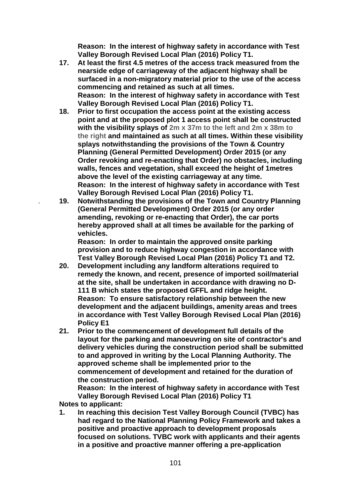**Reason: In the interest of highway safety in accordance with Test Valley Borough Revised Local Plan (2016) Policy T1.**

- **17. At least the first 4.5 metres of the access track measured from the nearside edge of carriageway of the adjacent highway shall be surfaced in a non-migratory material prior to the use of the access commencing and retained as such at all times. Reason: In the interest of highway safety in accordance with Test Valley Borough Revised Local Plan (2016) Policy T1.**
- **18. Prior to first occupation the access point at the existing access point and at the proposed plot 1 access point shall be constructed with the visibility splays of 2m x 37m to the left and 2m x 38m to the right and maintained as such at all times. Within these visibility splays notwithstanding the provisions of the Town & Country Planning (General Permitted Development) Order 2015 (or any Order revoking and re-enacting that Order) no obstacles, including walls, fences and vegetation, shall exceed the height of 1metres above the level of the existing carriageway at any time. Reason: In the interest of highway safety in accordance with Test Valley Borough Revised Local Plan (2016) Policy T1.**
- . **19. Notwithstanding the provisions of the Town and Country Planning (General Permitted Development) Order 2015 (or any order amending, revoking or re-enacting that Order), the car ports hereby approved shall at all times be available for the parking of vehicles.**

**Reason: In order to maintain the approved onsite parking provision and to reduce highway congestion in accordance with Test Valley Borough Revised Local Plan (2016) Policy T1 and T2.**

- **20. Development including any landform alterations required to remedy the known, and recent, presence of imported soil/material at the site, shall be undertaken in accordance with drawing no D-111 B which states the proposed GFFL and ridge height. Reason: To ensure satisfactory relationship between the new development and the adjacent buildings, amenity areas and trees in accordance with Test Valley Borough Revised Local Plan (2016) Policy E1**
- **21. Prior to the commencement of development full details of the layout for the parking and manoeuvring on site of contractor's and delivery vehicles during the construction period shall be submitted to and approved in writing by the Local Planning Authority. The approved scheme shall be implemented prior to the commencement of development and retained for the duration of the construction period.**

**Reason: In the interest of highway safety in accordance with Test Valley Borough Revised Local Plan (2016) Policy T1**

**Notes to applicant:**

**1. In reaching this decision Test Valley Borough Council (TVBC) has had regard to the National Planning Policy Framework and takes a positive and proactive approach to development proposals focused on solutions. TVBC work with applicants and their agents in a positive and proactive manner offering a pre-application**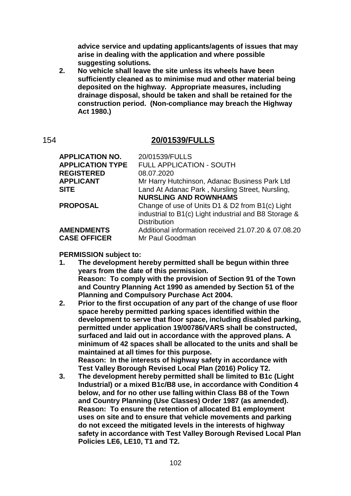**advice service and updating applicants/agents of issues that may arise in dealing with the application and where possible suggesting solutions.**

**2. No vehicle shall leave the site unless its wheels have been sufficiently cleaned as to minimise mud and other material being deposited on the highway. Appropriate measures, including drainage disposal, should be taken and shall be retained for the construction period. (Non-compliance may breach the Highway Act 1980.)**

### 154 **20/01539/FULLS**

| <b>APPLICATION NO.</b>  | 20/01539/FULLS                                        |
|-------------------------|-------------------------------------------------------|
| <b>APPLICATION TYPE</b> | <b>FULL APPLICATION - SOUTH</b>                       |
| <b>REGISTERED</b>       | 08.07.2020                                            |
| <b>APPLICANT</b>        | Mr Harry Hutchinson, Adanac Business Park Ltd         |
| <b>SITE</b>             | Land At Adanac Park, Nursling Street, Nursling,       |
|                         | <b>NURSLING AND ROWNHAMS</b>                          |
| <b>PROPOSAL</b>         | Change of use of Units D1 & D2 from B1(c) Light       |
|                         | industrial to B1(c) Light industrial and B8 Storage & |
|                         | <b>Distribution</b>                                   |
| <b>AMENDMENTS</b>       | Additional information received 21.07.20 & 07.08.20   |
| <b>CASE OFFICER</b>     | Mr Paul Goodman                                       |

#### **PERMISSION subject to:**

- **1. The development hereby permitted shall be begun within three years from the date of this permission. Reason: To comply with the provision of Section 91 of the Town and Country Planning Act 1990 as amended by Section 51 of the Planning and Compulsory Purchase Act 2004.**
- **2. Prior to the first occupation of any part of the change of use floor space hereby permitted parking spaces identified within the development to serve that floor space, including disabled parking, permitted under application 19/00786/VARS shall be constructed, surfaced and laid out in accordance with the approved plans. A minimum of 42 spaces shall be allocated to the units and shall be maintained at all times for this purpose. Reason: In the interests of highway safety in accordance with Test Valley Borough Revised Local Plan (2016) Policy T2.**
- **3. The development hereby permitted shall be limited to B1c (Light Industrial) or a mixed B1c/B8 use, in accordance with Condition 4 below, and for no other use falling within Class B8 of the Town and Country Planning (Use Classes) Order 1987 (as amended). Reason: To ensure the retention of allocated B1 employment uses on site and to ensure that vehicle movements and parking do not exceed the mitigated levels in the interests of highway safety in accordance with Test Valley Borough Revised Local Plan Policies LE6, LE10, T1 and T2.**